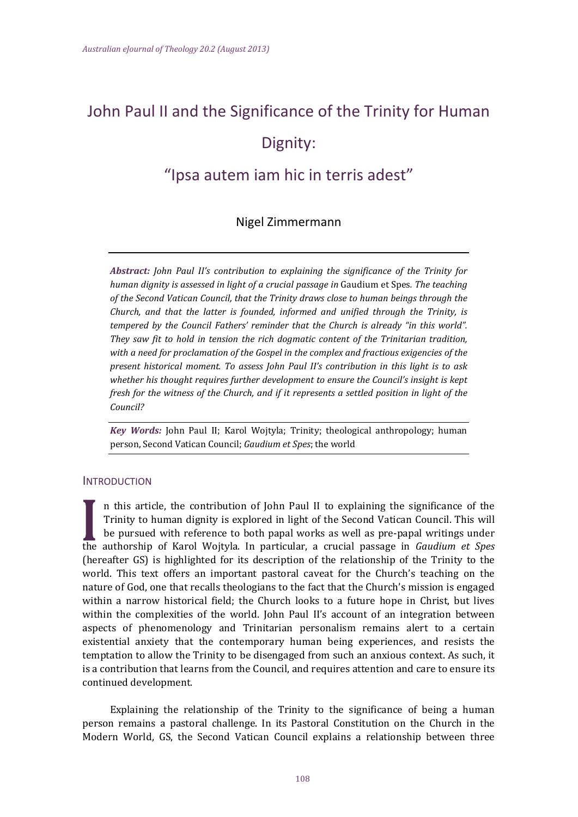# John Paul II and the Significance of the Trinity for Human Dignity:

# "Ipsa autem iam hic in terris adest"

## Nigel Zimmermann

*Abstract: John Paul II's contribution to explaining the significance of the Trinity for human dignity is assessed in light of a crucial passage in* Gaudium et Spes*. The teaching of the Second Vatican Council, that the Trinity draws close to human beings through the Church, and that the latter is founded, informed and unified through the Trinity, is tempered by the Council Fathers' reminder that the Church is already "in this world". They saw fit to hold in tension the rich dogmatic content of the Trinitarian tradition, with a need for proclamation of the Gospel in the complex and fractious exigencies of the present historical moment. To assess John Paul II's contribution in this light is to ask whether his thought requires further development to ensure the Council's insight is kept fresh for the witness of the Church, and if it represents a settled position in light of the Council?*

*Key Words:* John Paul II; Karol Wojtyla; Trinity; theological anthropology; human person, Second Vatican Council; *Gaudium et Spes*; the world 

#### **INTRODUCTION**

n this article, the contribution of John Paul II to explaining the significance of the Trinity to human dignity is explored in light of the Second Vatican Council. This will be pursued with reference to both papal works as well as pre-papal writings under the authorship of Karol Wojtyla. In particular, a crucial passage in *Gaudium et Spes* (hereafter GS) is highlighted for its description of the relationship of the Trinity to the world. This text offers an important pastoral caveat for the Church's teaching on the nature of God, one that recalls theologians to the fact that the Church's mission is engaged within a narrow historical field; the Church looks to a future hope in Christ, but lives within the complexities of the world. John Paul II's account of an integration between aspects of phenomenology and Trinitarian personalism remains alert to a certain existential anxiety that the contemporary human being experiences, and resists the temptation to allow the Trinity to be disengaged from such an anxious context. As such, it is a contribution that learns from the Council, and requires attention and care to ensure its continued development.

Explaining the relationship of the Trinity to the significance of being a human person remains a pastoral challenge. In its Pastoral Constitution on the Church in the Modern World, GS, the Second Vatican Council explains a relationship between three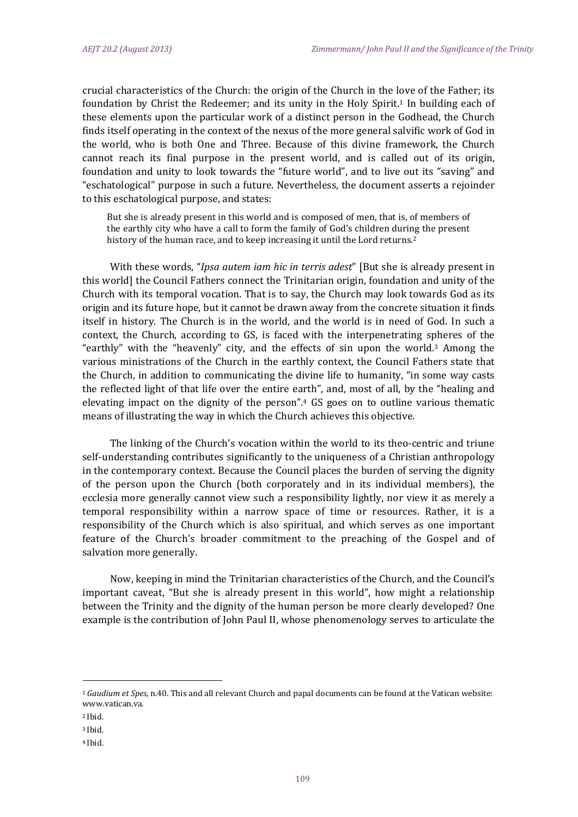crucial characteristics of the Church: the origin of the Church in the love of the Father; its foundation by Christ the Redeemer; and its unity in the Holy Spirit.<sup>1</sup> In building each of these elements upon the particular work of a distinct person in the Godhead, the Church finds itself operating in the context of the nexus of the more general salvific work of God in the world, who is both One and Three. Because of this divine framework, the Church cannot reach its final purpose in the present world, and is called out of its origin, foundation and unity to look towards the "future world", and to live out its "saving" and "eschatological" purpose in such a future. Nevertheless, the document asserts a rejoinder to this eschatological purpose, and states:

But she is already present in this world and is composed of men, that is, of members of the earthly city who have a call to form the family of God's children during the present history of the human race, and to keep increasing it until the Lord returns.<sup>2</sup>

With these words, "*Ipsa autem iam hic in terris adest*" [But she is already present in this world] the Council Fathers connect the Trinitarian origin, foundation and unity of the Church with its temporal vocation. That is to say, the Church may look towards God as its origin and its future hope, but it cannot be drawn away from the concrete situation it finds itself in history. The Church is in the world, and the world is in need of God. In such a context, the Church, according to GS, is faced with the interpenetrating spheres of the "earthly" with the "heavenly" city, and the effects of sin upon the world.<sup>3</sup> Among the various ministrations of the Church in the earthly context, the Council Fathers state that the Church, in addition to communicating the divine life to humanity, "in some way casts the reflected light of that life over the entire earth", and, most of all, by the "healing and elevating impact on the dignity of the person".<sup>4</sup>  $GS$  goes on to outline various thematic means of illustrating the way in which the Church achieves this objective.

The linking of the Church's vocation within the world to its theo-centric and triune self-understanding contributes significantly to the uniqueness of a Christian anthropology in the contemporary context. Because the Council places the burden of serving the dignity of the person upon the Church (both corporately and in its individual members), the ecclesia more generally cannot view such a responsibility lightly, nor view it as merely a temporal responsibility within a narrow space of time or resources. Rather, it is a responsibility of the Church which is also spiritual, and which serves as one important feature of the Church's broader commitment to the preaching of the Gospel and of salvation more generally.

Now, keeping in mind the Trinitarian characteristics of the Church, and the Council's important caveat, "But she is already present in this world", how might a relationship between the Trinity and the dignity of the human person be more clearly developed? One example is the contribution of John Paul II, whose phenomenology serves to articulate the

<sup>&</sup>lt;sup>1</sup> Gaudium et Spes, n.40. This and all relevant Church and papal documents can be found at the Vatican website: www.vatican.va.

<sup>&</sup>lt;sup>2</sup> Ibid.

<sup>3</sup> Ibid.

<sup>4</sup> Ibid.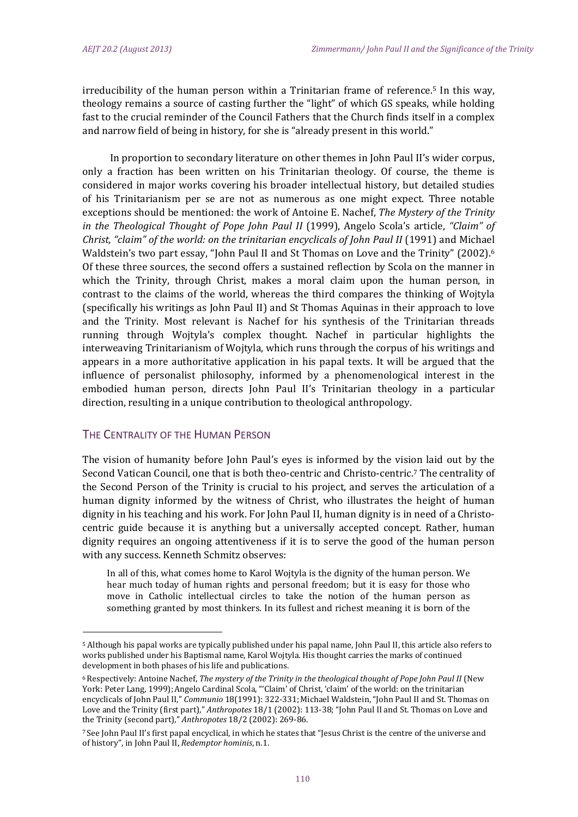irreducibility of the human person within a Trinitarian frame of reference.<sup>5</sup> In this way, theology remains a source of casting further the "light" of which GS speaks, while holding fast to the crucial reminder of the Council Fathers that the Church finds itself in a complex and narrow field of being in history, for she is "already present in this world."

In proportion to secondary literature on other themes in John Paul II's wider corpus, only a fraction has been written on his Trinitarian theology. Of course, the theme is considered in major works covering his broader intellectual history, but detailed studies of his Trinitarianism per se are not as numerous as one might expect. Three notable exceptions should be mentioned: the work of Antoine E. Nachef, *The Mystery of the Trinity in the Theological Thought of Pope John Paul II* (1999), Angelo Scola's article, *"Claim" of Christ, "claim" of the world: on the trinitarian encyclicals of John Paul II* (1991) and Michael Waldstein's two part essay, "John Paul II and St Thomas on Love and the Trinity" (2002).<sup>6</sup> Of these three sources, the second offers a sustained reflection by Scola on the manner in which the Trinity, through Christ, makes a moral claim upon the human person, in contrast to the claims of the world, whereas the third compares the thinking of Wojtyla (specifically his writings as John Paul II) and St Thomas Aquinas in their approach to love and the Trinity. Most relevant is Nachef for his synthesis of the Trinitarian threads running through Wojtyla's complex thought. Nachef in particular highlights the interweaving Trinitarianism of Wojtyla, which runs through the corpus of his writings and appears in a more authoritative application in his papal texts. It will be argued that the influence of personalist philosophy, informed by a phenomenological interest in the embodied human person, directs John Paul II's Trinitarian theology in a particular direction, resulting in a unique contribution to theological anthropology.

### THE CENTRALITY OF THE HUMAN PERSON

 

The vision of humanity before John Paul's eyes is informed by the vision laid out by the Second Vatican Council, one that is both theo-centric and Christo-centric.<sup>7</sup> The centrality of the Second Person of the Trinity is crucial to his project, and serves the articulation of a human dignity informed by the witness of Christ, who illustrates the height of human dignity in his teaching and his work. For John Paul II, human dignity is in need of a Christocentric guide because it is anything but a universally accepted concept. Rather, human dignity requires an ongoing attentiveness if it is to serve the good of the human person with any success. Kenneth Schmitz observes:

In all of this, what comes home to Karol Wojtyla is the dignity of the human person. We hear much today of human rights and personal freedom; but it is easy for those who move in Catholic intellectual circles to take the notion of the human person as something granted by most thinkers. In its fullest and richest meaning it is born of the

<sup>&</sup>lt;sup>5</sup> Although his papal works are typically published under his papal name, John Paul II, this article also refers to works published under his Baptismal name, Karol Wojtyla. His thought carries the marks of continued development in both phases of his life and publications.

<sup>6</sup> Respectively: Antoine Nachef, *The mystery of the Trinity in the theological thought of Pope John Paul II* (New York: Peter Lang, 1999); Angelo Cardinal Scola, "'Claim' of Christ, 'claim' of the world: on the trinitarian encyclicals of John Paul II," *Communio* 18(1991): 322-331; Michael Waldstein, "John Paul II and St. Thomas on Love and the Trinity (first part)," *Anthropotes* 18/1 (2002): 113-38; "John Paul II and St. Thomas on Love and the Trinity (second part)," *Anthropotes* 18/2 (2002): 269-86.

<sup>&</sup>lt;sup>7</sup> See John Paul II's first papal encyclical, in which he states that "Jesus Christ is the centre of the universe and of history", in John Paul II, *Redemptor hominis*, n.1.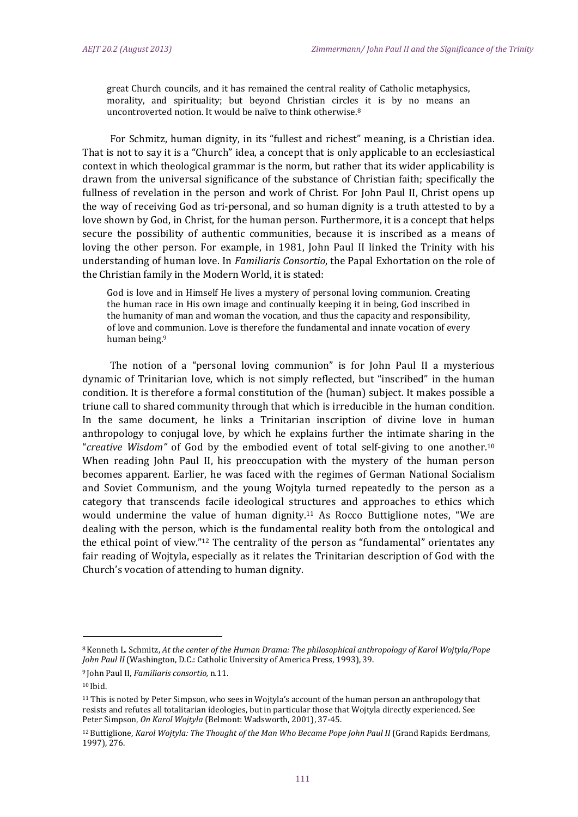great Church councils, and it has remained the central reality of Catholic metaphysics, morality, and spirituality; but beyond Christian circles it is by no means an uncontroverted notion. It would be naïve to think otherwise.<sup>8</sup>

For Schmitz, human dignity, in its "fullest and richest" meaning, is a Christian idea. That is not to say it is a "Church" idea, a concept that is only applicable to an ecclesiastical context in which theological grammar is the norm, but rather that its wider applicability is drawn from the universal significance of the substance of Christian faith; specifically the fullness of revelation in the person and work of Christ. For John Paul II, Christ opens up the way of receiving God as tri-personal, and so human dignity is a truth attested to by a love shown by God, in Christ, for the human person. Furthermore, it is a concept that helps secure the possibility of authentic communities, because it is inscribed as a means of loving the other person. For example, in 1981, John Paul II linked the Trinity with his understanding of human love. In *Familiaris Consortio*, the Papal Exhortation on the role of the Christian family in the Modern World, it is stated:

God is love and in Himself He lives a mystery of personal loving communion. Creating the human race in His own image and continually keeping it in being, God inscribed in the humanity of man and woman the vocation, and thus the capacity and responsibility, of love and communion. Love is therefore the fundamental and innate vocation of every human being.<sup>9</sup>

The notion of a "personal loving communion" is for John Paul II a mysterious dynamic of Trinitarian love, which is not simply reflected, but "inscribed" in the human condition. It is therefore a formal constitution of the (human) subject. It makes possible a triune call to shared community through that which is irreducible in the human condition. In the same document, he links a Trinitarian inscription of divine love in human anthropology to conjugal love, by which he explains further the intimate sharing in the "creative Wisdom" of God by the embodied event of total self-giving to one another.<sup>10</sup> When reading John Paul II, his preoccupation with the mystery of the human person becomes apparent. Earlier, he was faced with the regimes of German National Socialism and Soviet Communism, and the young Wojtyla turned repeatedly to the person as a category that transcends facile ideological structures and approaches to ethics which would undermine the value of human dignity.<sup>11</sup> As Rocco Buttiglione notes, "We are dealing with the person, which is the fundamental reality both from the ontological and the ethical point of view."<sup>12</sup> The centrality of the person as "fundamental" orientates any fair reading of Wojtyla, especially as it relates the Trinitarian description of God with the Church's vocation of attending to human dignity.

<sup>8</sup> Kenneth L. Schmitz, *At the center of the Human Drama: The philosophical anthropology of Karol Wojtyla/Pope John Paul II* (Washington, D.C.: Catholic University of America Press, 1993), 39.

<sup>9</sup> John Paul II, *Familiaris consortio,* n*.*11.

<sup>10</sup> Ibid.

<sup>&</sup>lt;sup>11</sup> This is noted by Peter Simpson, who sees in Wojtyla's account of the human person an anthropology that resists and refutes all totalitarian ideologies, but in particular those that Wojtyla directly experienced. See Peter Simpson, On Karol Wojtyla (Belmont: Wadsworth, 2001), 37-45.

<sup>12</sup> Buttiglione, *Karol Wojtyla: The Thought of the Man Who Became Pope John Paul II* (Grand Rapids: Eerdmans, 1997), 276.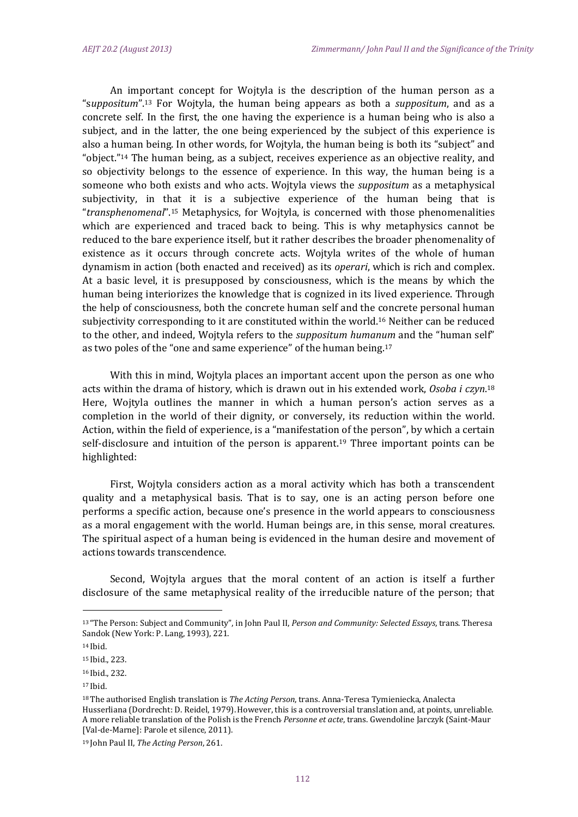An important concept for Wojtyla is the description of the human person as a "suppositum".<sup>13</sup> For Wojtyla, the human being appears as both a *suppositum*, and as a concrete self. In the first, the one having the experience is a human being who is also a subject, and in the latter, the one being experienced by the subject of this experience is also a human being. In other words, for Wojtyla, the human being is both its "subject" and "object."<sup>14</sup> The human being, as a subject, receives experience as an objective reality, and so objectivity belongs to the essence of experience. In this way, the human being is a someone who both exists and who acts. Wojtyla views the *suppositum* as a metaphysical subjectivity, in that it is a subjective experience of the human being that is "*transphenomenal*".<sup>15</sup> Metaphysics, for Wojtyla, is concerned with those phenomenalities which are experienced and traced back to being. This is why metaphysics cannot be reduced to the bare experience itself, but it rather describes the broader phenomenality of existence as it occurs through concrete acts. Wojtyla writes of the whole of human dynamism in action (both enacted and received) as its *operari*, which is rich and complex. At a basic level, it is presupposed by consciousness, which is the means by which the human being interiorizes the knowledge that is cognized in its lived experience. Through the help of consciousness, both the concrete human self and the concrete personal human subjectivity corresponding to it are constituted within the world.<sup>16</sup> Neither can be reduced to the other, and indeed, Wojtyla refers to the *suppositum humanum* and the "human self" as two poles of the "one and same experience" of the human being.<sup>17</sup>

With this in mind, Wojtyla places an important accent upon the person as one who acts within the drama of history, which is drawn out in his extended work, Osoba *i czyn*.<sup>18</sup> Here, Wojtyla outlines the manner in which a human person's action serves as a completion in the world of their dignity, or conversely, its reduction within the world. Action, within the field of experience, is a "manifestation of the person", by which a certain self-disclosure and intuition of the person is apparent.<sup>19</sup> Three important points can be highlighted: 

First, Wojtyla considers action as a moral activity which has both a transcendent quality and a metaphysical basis. That is to say, one is an acting person before one performs a specific action, because one's presence in the world appears to consciousness as a moral engagement with the world. Human beings are, in this sense, moral creatures. The spiritual aspect of a human being is evidenced in the human desire and movement of actions towards transcendence.

Second, Wojtyla argues that the moral content of an action is itself a further disclosure of the same metaphysical reality of the irreducible nature of the person; that

<sup>13 &</sup>quot;The Person: Subject and Community", in John Paul II, *Person and Community: Selected Essays*, trans. Theresa Sandok (New York: P. Lang, 1993), 221.

<sup>14</sup> Ibid.

<sup>15</sup> Ibid., 223.

<sup>16</sup> Ibid., 232.

<sup>17</sup> Ibid.

<sup>&</sup>lt;sup>18</sup> The authorised English translation is *The Acting Person*, trans. Anna-Teresa Tymieniecka, Analecta Husserliana (Dordrecht: D. Reidel, 1979). However, this is a controversial translation and, at points, unreliable. A more reliable translation of the Polish is the French *Personne et acte*, trans. Gwendoline Jarczyk (Saint-Maur [Val-de-Marne]: Parole et silence, 2011).

<sup>19</sup> John Paul II, *The Acting Person*, 261.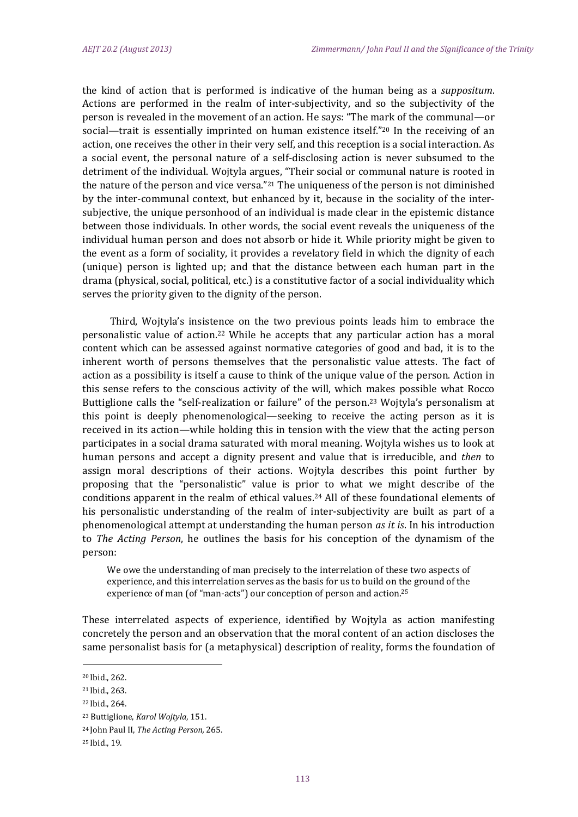the kind of action that is performed is indicative of the human being as a *suppositum*. Actions are performed in the realm of inter-subjectivity, and so the subjectivity of the person is revealed in the movement of an action. He says: "The mark of the communal—or social—trait is essentially imprinted on human existence itself."<sup>20</sup> In the receiving of an action, one receives the other in their very self, and this reception is a social interaction. As a social event, the personal nature of a self-disclosing action is never subsumed to the detriment of the individual. Wojtyla argues, "Their social or communal nature is rooted in the nature of the person and vice versa."<sup>21</sup> The uniqueness of the person is not diminished by the inter-communal context, but enhanced by it, because in the sociality of the intersubjective, the unique personhood of an individual is made clear in the epistemic distance between those individuals. In other words, the social event reveals the uniqueness of the individual human person and does not absorb or hide it. While priority might be given to the event as a form of sociality, it provides a revelatory field in which the dignity of each (unique) person is lighted up; and that the distance between each human part in the drama (physical, social, political, etc.) is a constitutive factor of a social individuality which serves the priority given to the dignity of the person.

Third, Wojtyla's insistence on the two previous points leads him to embrace the personalistic value of action.<sup>22</sup> While he accepts that any particular action has a moral content which can be assessed against normative categories of good and bad, it is to the inherent worth of persons themselves that the personalistic value attests. The fact of action as a possibility is itself a cause to think of the unique value of the person. Action in this sense refers to the conscious activity of the will, which makes possible what Rocco Buttiglione calls the "self-realization or failure" of the person.<sup>23</sup> Wojtyla's personalism at this point is deeply phenomenological—seeking to receive the acting person as it is received in its action—while holding this in tension with the view that the acting person participates in a social drama saturated with moral meaning. Wojtyla wishes us to look at human persons and accept a dignity present and value that is irreducible, and *then* to assign moral descriptions of their actions. Wojtyla describes this point further by proposing that the "personalistic" value is prior to what we might describe of the conditions apparent in the realm of ethical values.<sup>24</sup> All of these foundational elements of his personalistic understanding of the realm of inter-subjectivity are built as part of a phenomenological attempt at understanding the human person *as it is*. In his introduction to *The Acting Person*, he outlines the basis for his conception of the dynamism of the person: 

We owe the understanding of man precisely to the interrelation of these two aspects of experience, and this interrelation serves as the basis for us to build on the ground of the experience of man (of "man-acts") our conception of person and action.<sup>25</sup>

These interrelated aspects of experience, identified by Wojtyla as action manifesting concretely the person and an observation that the moral content of an action discloses the same personalist basis for (a metaphysical) description of reality, forms the foundation of

<sup>20</sup> Ibid., 262.

<sup>&</sup>lt;sup>21</sup> Ibid., 263.

<sup>&</sup>lt;sup>22</sup> Ibid., 264.

<sup>23</sup> Buttiglione, *Karol Wojtyla*, 151. 

<sup>24</sup> John Paul II, *The Acting Person,* 265.

<sup>25</sup> Ibid., 19.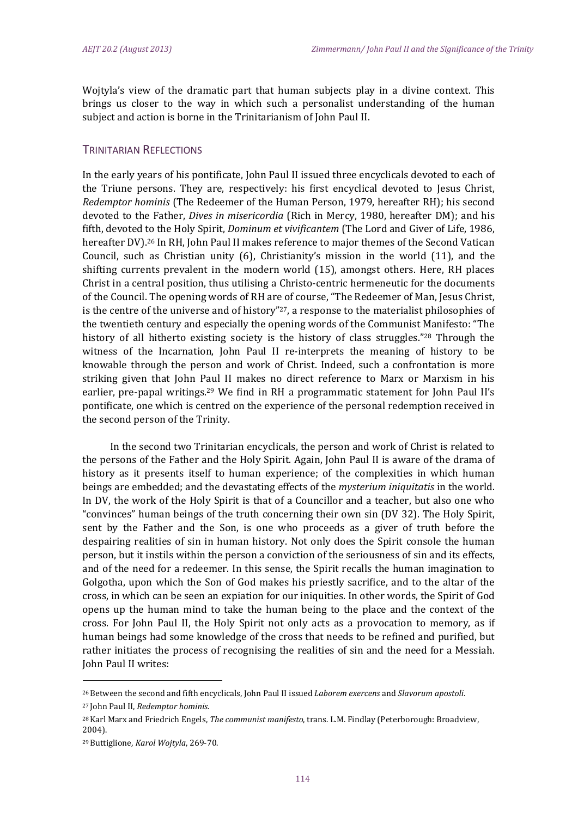Wojtyla's view of the dramatic part that human subjects play in a divine context. This brings us closer to the way in which such a personalist understanding of the human subject and action is borne in the Trinitarianism of John Paul II.

#### TRINITARIAN REFLECTIONS

In the early years of his pontificate, John Paul II issued three encyclicals devoted to each of the Triune persons. They are, respectively: his first encyclical devoted to Jesus Christ, *Redemptor hominis* (The Redeemer of the Human Person, 1979, hereafter RH); his second devoted to the Father, *Dives in misericordia* (Rich in Mercy, 1980, hereafter DM); and his fifth, devoted to the Holy Spirit, *Dominum et vivificantem* (The Lord and Giver of Life, 1986, hereafter DV).<sup>26</sup> In RH, John Paul II makes reference to major themes of the Second Vatican Council, such as Christian unity  $(6)$ , Christianity's mission in the world  $(11)$ , and the shifting currents prevalent in the modern world (15), amongst others. Here, RH places Christ in a central position, thus utilising a Christo-centric hermeneutic for the documents of the Council. The opening words of RH are of course, "The Redeemer of Man, Jesus Christ, is the centre of the universe and of history"<sup>27</sup>, a response to the materialist philosophies of the twentieth century and especially the opening words of the Communist Manifesto: "The history of all hitherto existing society is the history of class struggles."<sup>28</sup> Through the witness of the Incarnation, John Paul II re-interprets the meaning of history to be knowable through the person and work of Christ. Indeed, such a confrontation is more striking given that John Paul II makes no direct reference to Marx or Marxism in his earlier, pre-papal writings.<sup>29</sup> We find in RH a programmatic statement for John Paul II's pontificate, one which is centred on the experience of the personal redemption received in the second person of the Trinity.

In the second two Trinitarian encyclicals, the person and work of Christ is related to the persons of the Father and the Holy Spirit. Again, John Paul II is aware of the drama of history as it presents itself to human experience; of the complexities in which human beings are embedded; and the devastating effects of the *mysterium iniquitatis* in the world. In DV, the work of the Holy Spirit is that of a Councillor and a teacher, but also one who "convinces" human beings of the truth concerning their own sin (DV 32). The Holy Spirit, sent by the Father and the Son, is one who proceeds as a giver of truth before the despairing realities of sin in human history. Not only does the Spirit console the human person, but it instils within the person a conviction of the seriousness of sin and its effects, and of the need for a redeemer. In this sense, the Spirit recalls the human imagination to Golgotha, upon which the Son of God makes his priestly sacrifice, and to the altar of the cross, in which can be seen an expiation for our iniquities. In other words, the Spirit of God opens up the human mind to take the human being to the place and the context of the cross. For John Paul II, the Holy Spirit not only acts as a provocation to memory, as if human beings had some knowledge of the cross that needs to be refined and purified, but rather initiates the process of recognising the realities of sin and the need for a Messiah. **John Paul II writes:** 

<sup>26</sup> Between the second and fifth encyclicals, John Paul II issued *Laborem exercens* and *Slavorum apostoli*. 

<sup>27</sup> John Paul II, *Redemptor hominis.*

<sup>&</sup>lt;sup>28</sup> Karl Marx and Friedrich Engels, *The communist manifesto*, trans. L.M. Findlay (Peterborough: Broadview, 2004). 

<sup>29</sup> Buttiglione, *Karol Wojtyla*, 269‐70.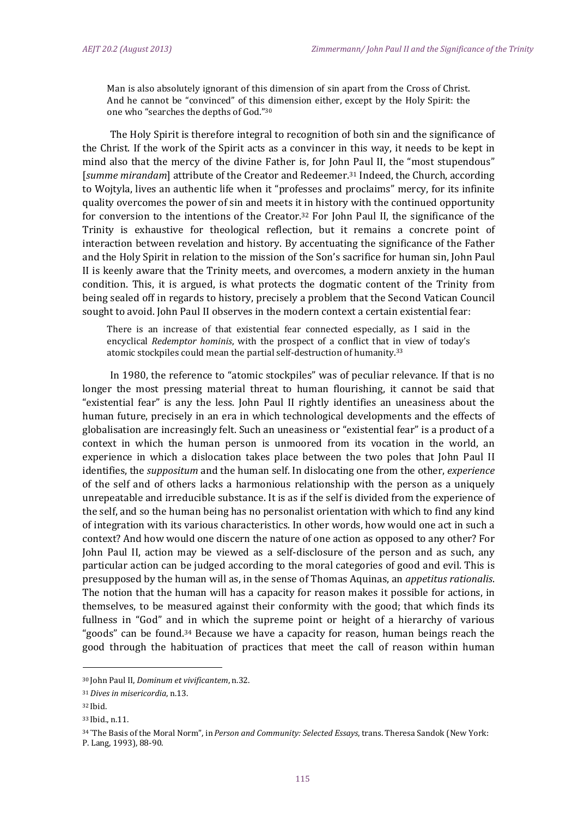Man is also absolutely ignorant of this dimension of sin apart from the Cross of Christ. And he cannot be "convinced" of this dimension either, except by the Holy Spirit: the one who "searches the depths of God."30

The Holy Spirit is therefore integral to recognition of both sin and the significance of the Christ. If the work of the Spirit acts as a convincer in this way, it needs to be kept in mind also that the mercy of the divine Father is, for John Paul II, the "most stupendous" [*summe mirandam*] attribute of the Creator and Redeemer.<sup>31</sup> Indeed, the Church, according to Wojtyla, lives an authentic life when it "professes and proclaims" mercy, for its infinite quality overcomes the power of sin and meets it in history with the continued opportunity for conversion to the intentions of the Creator.<sup>32</sup> For John Paul II, the significance of the Trinity is exhaustive for theological reflection, but it remains a concrete point of interaction between revelation and history. By accentuating the significance of the Father and the Holy Spirit in relation to the mission of the Son's sacrifice for human sin, John Paul II is keenly aware that the Trinity meets, and overcomes, a modern anxiety in the human condition. This, it is argued, is what protects the dogmatic content of the Trinity from being sealed off in regards to history, precisely a problem that the Second Vatican Council sought to avoid. John Paul II observes in the modern context a certain existential fear:

There is an increase of that existential fear connected especially, as I said in the encyclical *Redemptor hominis*, with the prospect of a conflict that in view of today's atomic stockpiles could mean the partial self-destruction of humanity.<sup>33</sup>

In 1980, the reference to "atomic stockpiles" was of peculiar relevance. If that is no longer the most pressing material threat to human flourishing, it cannot be said that "existential fear" is any the less. John Paul II rightly identifies an uneasiness about the human future, precisely in an era in which technological developments and the effects of globalisation are increasingly felt. Such an uneasiness or "existential fear" is a product of a context in which the human person is unmoored from its vocation in the world, an experience in which a dislocation takes place between the two poles that John Paul II identifies, the *suppositum* and the human self. In dislocating one from the other, *experience* of the self and of others lacks a harmonious relationship with the person as a uniquely unrepeatable and irreducible substance. It is as if the self is divided from the experience of the self, and so the human being has no personalist orientation with which to find any kind of integration with its various characteristics. In other words, how would one act in such a context? And how would one discern the nature of one action as opposed to any other? For John Paul II, action may be viewed as a self-disclosure of the person and as such, any particular action can be judged according to the moral categories of good and evil. This is presupposed by the human will as, in the sense of Thomas Aquinas, an *appetitus rationalis*. The notion that the human will has a capacity for reason makes it possible for actions, in themselves, to be measured against their conformity with the good; that which finds its fullness in "God" and in which the supreme point or height of a hierarchy of various "goods" can be found.<sup>34</sup> Because we have a capacity for reason, human beings reach the good through the habituation of practices that meet the call of reason within human

<sup>30</sup> John Paul II, *Dominum et vivificantem*, n.32.

<sup>31</sup>*Dives in misericordia*, n.13.

<sup>32</sup> Ibid.

<sup>33</sup> Ibid., n.11.

<sup>34 &</sup>quot;The Basis of the Moral Norm", in *Person and Community: Selected Essays*, trans. Theresa Sandok (New York: P. Lang, 1993), 88-90.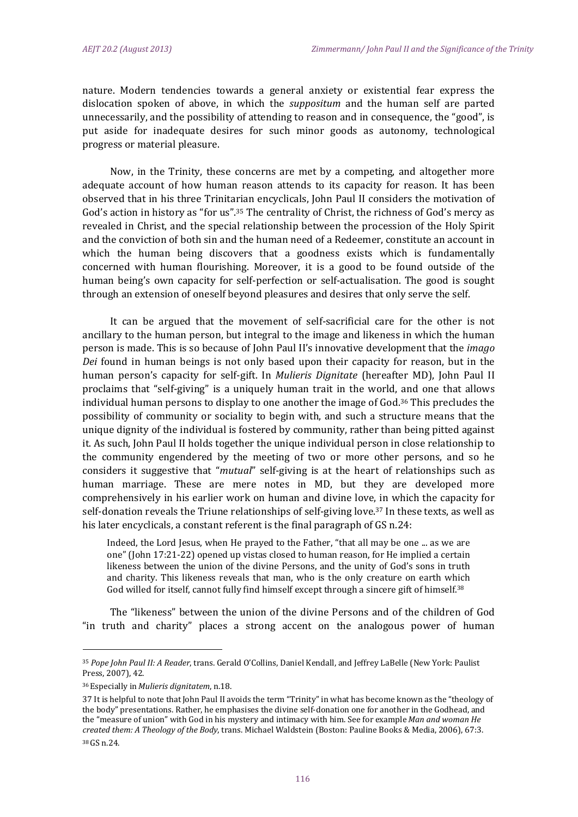nature. Modern tendencies towards a general anxiety or existential fear express the dislocation spoken of above, in which the *suppositum* and the human self are parted unnecessarily, and the possibility of attending to reason and in consequence, the "good", is put aside for inadequate desires for such minor goods as autonomy, technological progress or material pleasure.

Now, in the Trinity, these concerns are met by a competing, and altogether more adequate account of how human reason attends to its capacity for reason. It has been observed that in his three Trinitarian encyclicals, John Paul II considers the motivation of God's action in history as "for us".<sup>35</sup> The centrality of Christ, the richness of God's mercy as revealed in Christ, and the special relationship between the procession of the Holy Spirit and the conviction of both sin and the human need of a Redeemer, constitute an account in which the human being discovers that a goodness exists which is fundamentally concerned with human flourishing. Moreover, it is a good to be found outside of the human being's own capacity for self-perfection or self-actualisation. The good is sought through an extension of oneself beyond pleasures and desires that only serve the self.

It can be argued that the movement of self-sacrificial care for the other is not ancillary to the human person, but integral to the image and likeness in which the human person is made. This is so because of John Paul II's innovative development that the *imago Dei* found in human beings is not only based upon their capacity for reason, but in the human person's capacity for self-gift. In *Mulieris Dignitate* (hereafter MD), John Paul II proclaims that "self-giving" is a uniquely human trait in the world, and one that allows individual human persons to display to one another the image of  $God.^36$  This precludes the possibility of community or sociality to begin with, and such a structure means that the unique dignity of the individual is fostered by community, rather than being pitted against it. As such, John Paul II holds together the unique individual person in close relationship to the community engendered by the meeting of two or more other persons, and so he considers it suggestive that "*mutual*" self-giving is at the heart of relationships such as human marriage. These are mere notes in MD, but they are developed more comprehensively in his earlier work on human and divine love, in which the capacity for self-donation reveals the Triune relationships of self-giving love.<sup>37</sup> In these texts, as well as his later encyclicals, a constant referent is the final paragraph of GS n.24:

Indeed, the Lord Jesus, when He prayed to the Father, "that all may be one ... as we are one" (John 17:21-22) opened up vistas closed to human reason, for He implied a certain likeness between the union of the divine Persons, and the unity of God's sons in truth and charity. This likeness reveals that man, who is the only creature on earth which God willed for itself, cannot fully find himself except through a sincere gift of himself.<sup>38</sup>

The "likeness" between the union of the divine Persons and of the children of God "in truth and charity" places a strong accent on the analogous power of human

<sup>35</sup> Pope John Paul II: A Reader, trans. Gerald O'Collins, Daniel Kendall, and Jeffrey LaBelle (New York: Paulist Press, 2007), 42.

<sup>36</sup> Especially in*Mulieris dignitatem*, n.18.

<sup>37</sup> It is helpful to note that John Paul II avoids the term "Trinity" in what has become known as the "theology of the body" presentations. Rather, he emphasises the divine self-donation one for another in the Godhead, and the "measure of union" with God in his mystery and intimacy with him. See for example Man and woman He *created them: A Theology of the Body*, trans. Michael Waldstein (Boston: Pauline Books & Media, 2006), 67:3.

<sup>38</sup> GS n.24.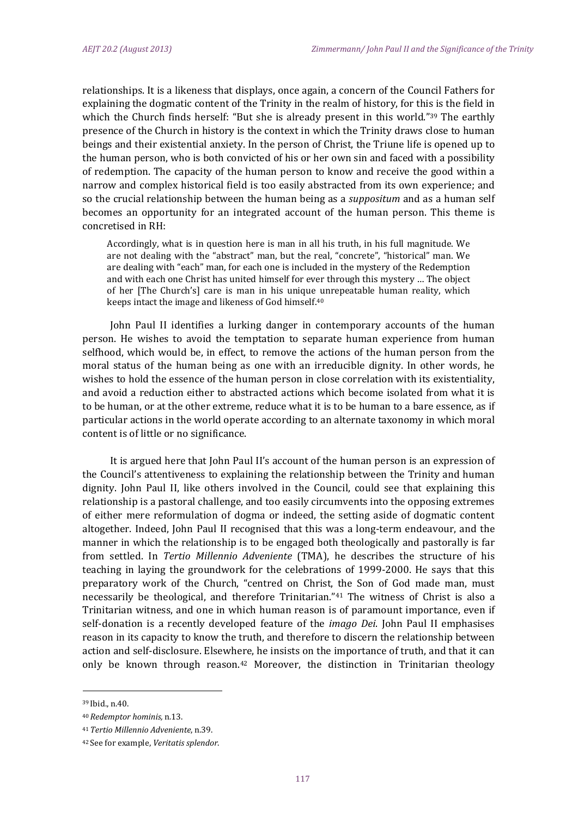relationships. It is a likeness that displays, once again, a concern of the Council Fathers for explaining the dogmatic content of the Trinity in the realm of history, for this is the field in which the Church finds herself: "But she is already present in this world."<sup>39</sup> The earthly presence of the Church in history is the context in which the Trinity draws close to human beings and their existential anxiety. In the person of Christ, the Triune life is opened up to the human person, who is both convicted of his or her own sin and faced with a possibility of redemption. The capacity of the human person to know and receive the good within a narrow and complex historical field is too easily abstracted from its own experience; and so the crucial relationship between the human being as a *suppositum* and as a human self becomes an opportunity for an integrated account of the human person. This theme is concretised in RH:

Accordingly, what is in question here is man in all his truth, in his full magnitude. We are not dealing with the "abstract" man, but the real, "concrete", "historical" man. We are dealing with "each" man, for each one is included in the mystery of the Redemption and with each one Christ has united himself for ever through this mystery ... The object of her [The Church's] care is man in his unique unrepeatable human reality, which keeps intact the image and likeness of God himself.<sup>40</sup>

John Paul II identifies a lurking danger in contemporary accounts of the human person. He wishes to avoid the temptation to separate human experience from human selfhood, which would be, in effect, to remove the actions of the human person from the moral status of the human being as one with an irreducible dignity. In other words, he wishes to hold the essence of the human person in close correlation with its existentiality, and avoid a reduction either to abstracted actions which become isolated from what it is to be human, or at the other extreme, reduce what it is to be human to a bare essence, as if particular actions in the world operate according to an alternate taxonomy in which moral content is of little or no significance.

It is argued here that John Paul II's account of the human person is an expression of the Council's attentiveness to explaining the relationship between the Trinity and human dignity. John Paul II, like others involved in the Council, could see that explaining this relationship is a pastoral challenge, and too easily circumvents into the opposing extremes of either mere reformulation of dogma or indeed, the setting aside of dogmatic content altogether. Indeed, John Paul II recognised that this was a long-term endeavour, and the manner in which the relationship is to be engaged both theologically and pastorally is far from settled. In Tertio Millennio Adveniente (TMA), he describes the structure of his teaching in laying the groundwork for the celebrations of 1999–2000. He says that this preparatory work of the Church, "centred on Christ, the Son of God made man, must necessarily be theological, and therefore Trinitarian.<sup>"41</sup> The witness of Christ is also a Trinitarian witness, and one in which human reason is of paramount importance, even if self-donation is a recently developed feature of the *imago Dei*. John Paul II emphasises reason in its capacity to know the truth, and therefore to discern the relationship between action and self-disclosure. Elsewhere, he insists on the importance of truth, and that it can only be known through reason.<sup>42</sup> Moreover, the distinction in Trinitarian theology

<sup>39</sup> Ibid., n.40.

<sup>40</sup>*Redemptor hominis,* n*.*13.

<sup>41</sup>*Tertio Millennio Adveniente*, n.39.

<sup>42</sup> See for example, *Veritatis splendor*.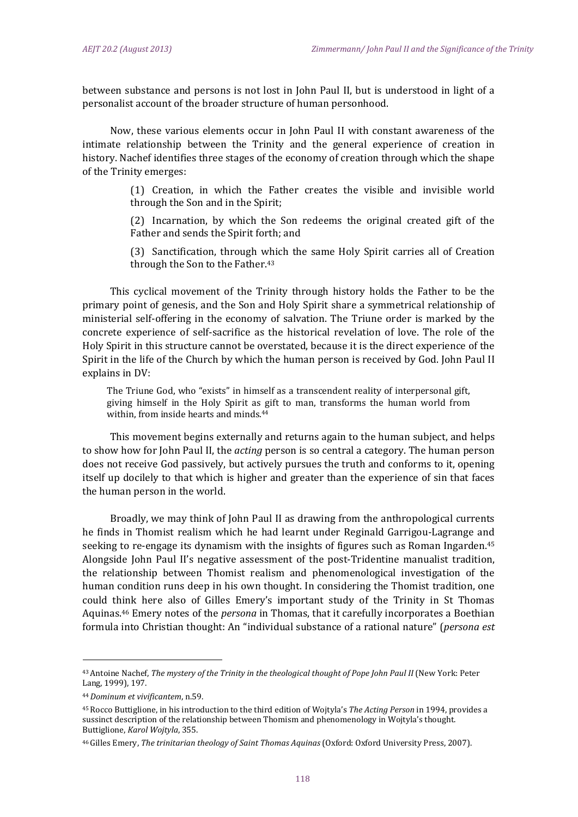between substance and persons is not lost in John Paul II, but is understood in light of a personalist account of the broader structure of human personhood.

Now, these various elements occur in John Paul II with constant awareness of the intimate relationship between the Trinity and the general experience of creation in history. Nachef identifies three stages of the economy of creation through which the shape of the Trinity emerges:

> (1) Creation, in which the Father creates the visible and invisible world through the Son and in the Spirit;

> (2) Incarnation, by which the Son redeems the original created gift of the Father and sends the Spirit forth; and

> (3) Sanctification, through which the same Holy Spirit carries all of Creation through the Son to the Father.<sup>43</sup>

This cyclical movement of the Trinity through history holds the Father to be the primary point of genesis, and the Son and Holy Spirit share a symmetrical relationship of ministerial self-offering in the economy of salvation. The Triune order is marked by the concrete experience of self-sacrifice as the historical revelation of love. The role of the Holy Spirit in this structure cannot be overstated, because it is the direct experience of the Spirit in the life of the Church by which the human person is received by God. John Paul II explains in DV:

The Triune God, who "exists" in himself as a transcendent reality of interpersonal gift, giving himself in the Holy Spirit as gift to man, transforms the human world from within, from inside hearts and minds.<sup>44</sup>

This movement begins externally and returns again to the human subject, and helps to show how for John Paul II, the *acting* person is so central a category. The human person does not receive God passively, but actively pursues the truth and conforms to it, opening itself up docilely to that which is higher and greater than the experience of sin that faces the human person in the world.

Broadly, we may think of John Paul II as drawing from the anthropological currents he finds in Thomist realism which he had learnt under Reginald Garrigou-Lagrange and seeking to re-engage its dynamism with the insights of figures such as Roman Ingarden.<sup>45</sup> Alongside John Paul II's negative assessment of the post-Tridentine manualist tradition, the relationship between Thomist realism and phenomenological investigation of the human condition runs deep in his own thought. In considering the Thomist tradition, one could think here also of Gilles Emery's important study of the Trinity in St Thomas Aquinas.<sup>46</sup> Emery notes of the *persona* in Thomas, that it carefully incorporates a Boethian formula into Christian thought: An "individual substance of a rational nature" (*persona est* 

<sup>43</sup> Antoine Nachef, *The mystery of the Trinity in the theological thought of Pope John Paul II* (New York: Peter Lang, 1999), 197.

<sup>44</sup>*Dominum et vivificantem*, n.59.

<sup>&</sup>lt;sup>45</sup> Rocco Buttiglione, in his introduction to the third edition of Wojtyla's *The Acting Person* in 1994, provides a sussinct description of the relationship between Thomism and phenomenology in Wojtyla's thought. Buttiglione, *Karol Wojtyla*, 355.

<sup>46</sup> Gilles Emery, *The trinitarian theology of Saint Thomas Aquinas* (Oxford: Oxford University Press, 2007).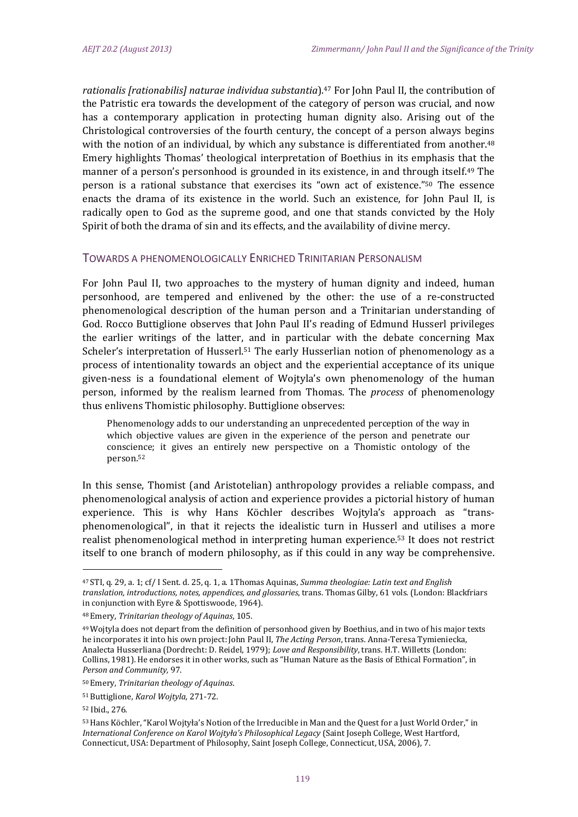*rationalis* [rationabilis] naturae *individua substantia*].<sup>47</sup> For John Paul II, the contribution of the Patristic era towards the development of the category of person was crucial, and now has a contemporary application in protecting human dignity also. Arising out of the Christological controversies of the fourth century, the concept of a person always begins with the notion of an individual, by which any substance is differentiated from another.<sup>48</sup> Emery highlights Thomas' theological interpretation of Boethius in its emphasis that the manner of a person's personhood is grounded in its existence, in and through itself.<sup>49</sup> The person is a rational substance that exercises its "own act of existence."<sup>50</sup> The essence enacts the drama of its existence in the world. Such an existence, for John Paul II, is radically open to God as the supreme good, and one that stands convicted by the Holy Spirit of both the drama of sin and its effects, and the availability of divine mercy.

#### TOWARDS A PHENOMENOLOGICALLY ENRICHED TRINITARIAN PERSONALISM

For John Paul II, two approaches to the mystery of human dignity and indeed, human personhood, are tempered and enlivened by the other: the use of a re-constructed phenomenological description of the human person and a Trinitarian understanding of God. Rocco Buttiglione observes that John Paul II's reading of Edmund Husserl privileges the earlier writings of the latter, and in particular with the debate concerning Max Scheler's interpretation of Husserl.<sup>51</sup> The early Husserlian notion of phenomenology as a process of intentionality towards an object and the experiential acceptance of its unique given-ness is a foundational element of Wojtyla's own phenomenology of the human person, informed by the realism learned from Thomas. The *process* of phenomenology thus enlivens Thomistic philosophy. Buttiglione observes:

Phenomenology adds to our understanding an unprecedented perception of the way in which objective values are given in the experience of the person and penetrate our conscience; it gives an entirely new perspective on a Thomistic ontology of the person.52

In this sense, Thomist (and Aristotelian) anthropology provides a reliable compass, and phenomenological analysis of action and experience provides a pictorial history of human experience. This is why Hans Köchler describes Wojtyla's approach as "transphenomenological", in that it rejects the idealistic turn in Husserl and utilises a more realist phenomenological method in interpreting human experience.<sup>53</sup> It does not restrict itself to one branch of modern philosophy, as if this could in any way be comprehensive.

<sup>47</sup> STI, q. 29, a. 1; cf/ I Sent. d. 25, q. 1, a. 1Thomas Aquinas, *Summa theologiae: Latin text and English translation, introductions, notes, appendices, and glossaries*, trans. Thomas Gilby, 61 vols. (London: Blackfriars in conjunction with Eyre & Spottiswoode, 1964).

<sup>48</sup> Emery, *Trinitarian theology of Aquinas*, 105.

<sup>&</sup>lt;sup>49</sup> Wojtyla does not depart from the definition of personhood given by Boethius, and in two of his major texts he incorporates it into his own project: John Paul II, *The Acting Person*, trans. Anna-Teresa Tymieniecka, Analecta Husserliana (Dordrecht: D. Reidel, 1979); Love and Responsibility, trans. H.T. Willetts (London: Collins, 1981). He endorses it in other works, such as "Human Nature as the Basis of Ethical Formation", in *Person and Community,* 97. 

<sup>50</sup> Emery, *Trinitarian theology of Aquinas*.

<sup>51</sup> Buttiglione, *Karol Wojtyla,* 271‐72.

<sup>52</sup> Ibid., 276.

<sup>53</sup> Hans Köchler, "Karol Wojtyła's Notion of the Irreducible in Man and the Quest for a Just World Order," in *International Conference on Karol Wojtyła's Philosophical Legacy* (Saint Joseph College, West Hartford, Connecticut, USA: Department of Philosophy, Saint Joseph College, Connecticut, USA, 2006), 7.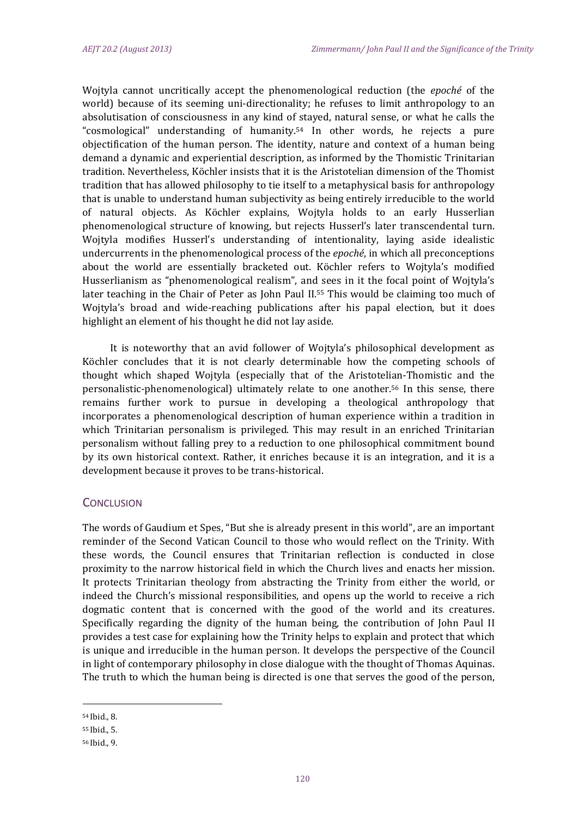Wojtyla cannot uncritically accept the phenomenological reduction (the *epoché* of the world) because of its seeming uni-directionality; he refuses to limit anthropology to an absolutisation of consciousness in any kind of stayed, natural sense, or what he calls the "cosmological" understanding of humanity.<sup>54</sup> In other words, he rejects a pure objectification of the human person. The identity, nature and context of a human being demand a dynamic and experiential description, as informed by the Thomistic Trinitarian tradition. Nevertheless, Köchler insists that it is the Aristotelian dimension of the Thomist tradition that has allowed philosophy to tie itself to a metaphysical basis for anthropology that is unable to understand human subjectivity as being entirely irreducible to the world of natural objects. As Köchler explains, Wojtyla holds to an early Husserlian phenomenological structure of knowing, but rejects Husserl's later transcendental turn. Wojtyla modifies Husserl's understanding of intentionality, laying aside idealistic undercurrents in the phenomenological process of the *epoché*, in which all preconceptions about the world are essentially bracketed out. Köchler refers to Wojtyla's modified Husserlianism as "phenomenological realism", and sees in it the focal point of Wojtyla's later teaching in the Chair of Peter as John Paul II.<sup>55</sup> This would be claiming too much of Wojtyla's broad and wide-reaching publications after his papal election, but it does highlight an element of his thought he did not lay aside.

It is noteworthy that an avid follower of Wojtyla's philosophical development as Köchler concludes that it is not clearly determinable how the competing schools of thought which shaped Wojtyla (especially that of the Aristotelian-Thomistic and the personalistic-phenomenological) ultimately relate to one another.<sup>56</sup> In this sense, there remains further work to pursue in developing a theological anthropology that incorporates a phenomenological description of human experience within a tradition in which Trinitarian personalism is privileged. This may result in an enriched Trinitarian personalism without falling prey to a reduction to one philosophical commitment bound by its own historical context. Rather, it enriches because it is an integration, and it is a development because it proves to be trans-historical.

#### **CONCLUSION**

The words of Gaudium et Spes, "But she is already present in this world", are an important reminder of the Second Vatican Council to those who would reflect on the Trinity. With these words, the Council ensures that Trinitarian reflection is conducted in close proximity to the narrow historical field in which the Church lives and enacts her mission. It protects Trinitarian theology from abstracting the Trinity from either the world, or indeed the Church's missional responsibilities, and opens up the world to receive a rich dogmatic content that is concerned with the good of the world and its creatures. Specifically regarding the dignity of the human being, the contribution of John Paul II provides a test case for explaining how the Trinity helps to explain and protect that which is unique and irreducible in the human person. It develops the perspective of the Council in light of contemporary philosophy in close dialogue with the thought of Thomas Aquinas. The truth to which the human being is directed is one that serves the good of the person,

<sup>54</sup> Ibid., 8.

<sup>55</sup> Ibid., 5.

<sup>56</sup> Ibid., 9.